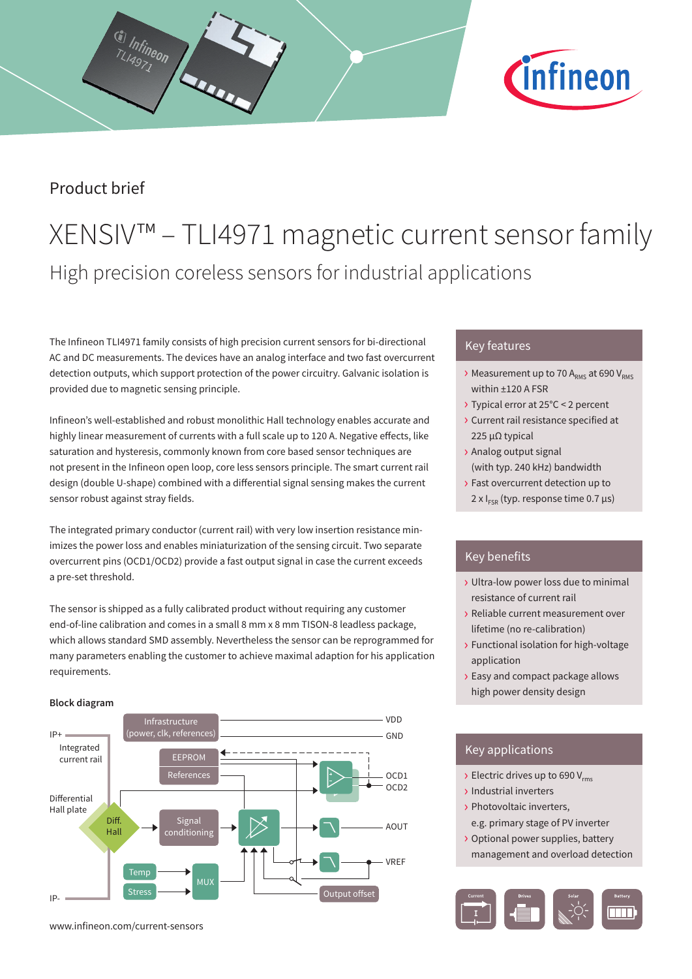

## Product brief

G Infineon

# XENSIV™ – TLI4971 magnetic current sensor family High precision coreless sensors for industrial applications

The Infineon TLI4971 family consists of high precision current sensors for bi-directional AC and DC measurements. The devices have an analog interface and two fast overcurrent detection outputs, which support protection of the power circuitry. Galvanic isolation is provided due to magnetic sensing principle.

Infineon's well-established and robust monolithic Hall technology enables accurate and highly linear measurement of currents with a full scale up to 120 A. Negative effects, like saturation and hysteresis, commonly known from core based sensor techniques are not present in the Infineon open loop, core less sensors principle. The smart current rail design (double U-shape) combined with a differential signal sensing makes the current sensor robust against stray fields.

The integrated primary conductor (current rail) with very low insertion resistance minimizes the power loss and enables miniaturization of the sensing circuit. Two separate overcurrent pins (OCD1/OCD2) provide a fast output signal in case the current exceeds a pre-set threshold.

The sensor is shipped as a fully calibrated product without requiring any customer end-of-line calibration and comes in a small 8 mm x 8 mm TISON-8 leadless package, which allows standard SMD assembly. Nevertheless the sensor can be reprogrammed for many parameters enabling the customer to achieve maximal adaption for his application requirements.

### **Block diagram**



Key features

- $\rightarrow$  Measurement up to 70 A<sub>RMS</sub> at 690 V<sub>RMS</sub> within ±120 A FSR
- › Typical error at 25°C < 2 percent
- › Current rail resistance specified at 225 µΩ typical
- › Analog output signal (with typ. 240 kHz) bandwidth
- › Fast overcurrent detection up to
	- 2 x  $I_{FSR}$  (typ. response time 0.7  $\mu$ s)

### Key benefits

- › Ultra-low power loss due to minimal resistance of current rail
- › Reliable current measurement over lifetime (no re-calibration)
- › Functional isolation for high-voltage application
- › Easy and compact package allows high power density design

## Key applications

- $\rightarrow$  Electric drives up to 690 V<sub>rms</sub>
- › Industrial inverters
- › Photovoltaic inverters, e.g. primary stage of PV inverter
- › Optional power supplies, battery management and overload detection